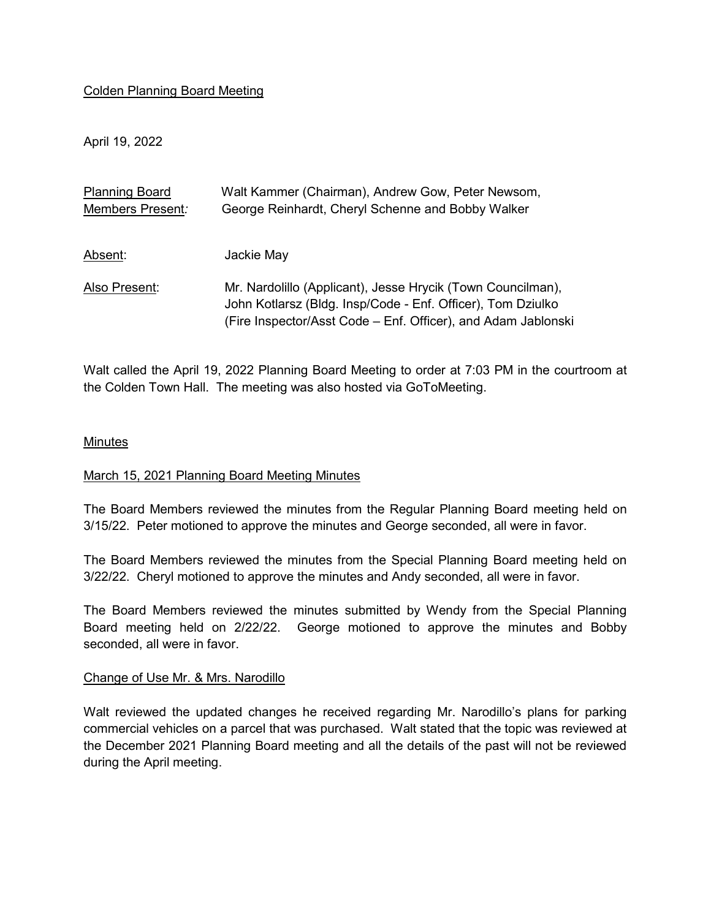## Colden Planning Board Meeting

April 19, 2022

| <b>Planning Board</b> | Walt Kammer (Chairman), Andrew Gow, Peter Newsom,             |
|-----------------------|---------------------------------------------------------------|
| Members Present:      | George Reinhardt, Cheryl Schenne and Bobby Walker             |
|                       |                                                               |
| Absent:               | Jackie May                                                    |
|                       |                                                               |
| Also Present:         | Mr. Nardolillo (Applicant), Jesse Hrycik (Town Councilman),   |
|                       | John Kotlarsz (Bldg. Insp/Code - Enf. Officer), Tom Dziulko   |
|                       | (Fire Inspector/Asst Code – Enf. Officer), and Adam Jablonski |

Walt called the April 19, 2022 Planning Board Meeting to order at 7:03 PM in the courtroom at the Colden Town Hall. The meeting was also hosted via GoToMeeting.

## Minutes

## March 15, 2021 Planning Board Meeting Minutes

The Board Members reviewed the minutes from the Regular Planning Board meeting held on 3/15/22. Peter motioned to approve the minutes and George seconded, all were in favor.

The Board Members reviewed the minutes from the Special Planning Board meeting held on 3/22/22. Cheryl motioned to approve the minutes and Andy seconded, all were in favor.

The Board Members reviewed the minutes submitted by Wendy from the Special Planning Board meeting held on 2/22/22. George motioned to approve the minutes and Bobby seconded, all were in favor.

## Change of Use Mr. & Mrs. Narodillo

Walt reviewed the updated changes he received regarding Mr. Narodillo's plans for parking commercial vehicles on a parcel that was purchased. Walt stated that the topic was reviewed at the December 2021 Planning Board meeting and all the details of the past will not be reviewed during the April meeting.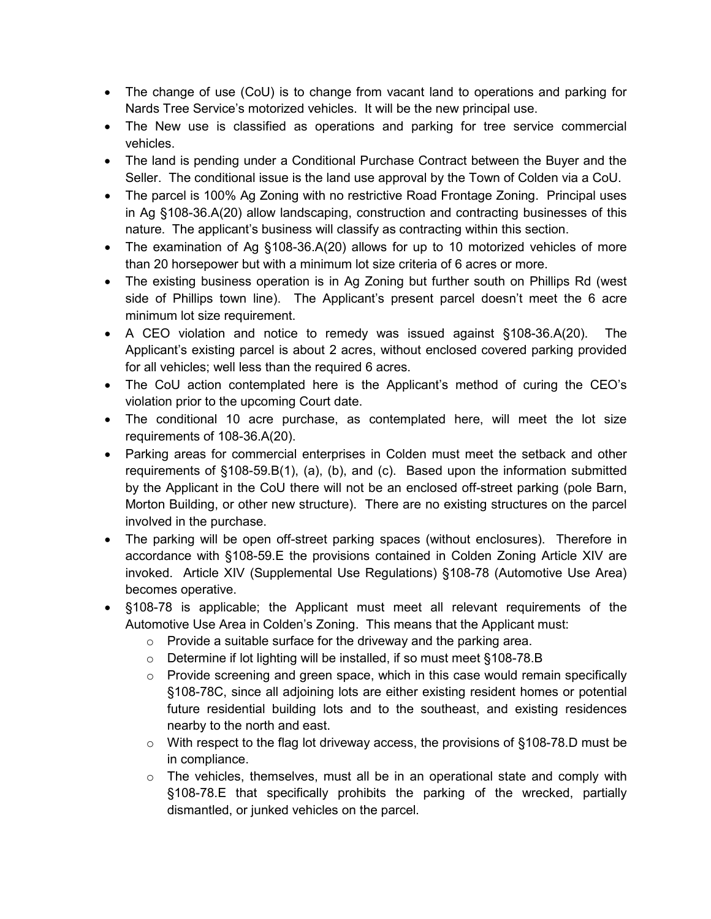- The change of use (CoU) is to change from vacant land to operations and parking for Nards Tree Service's motorized vehicles. It will be the new principal use.
- The New use is classified as operations and parking for tree service commercial vehicles.
- The land is pending under a Conditional Purchase Contract between the Buyer and the Seller. The conditional issue is the land use approval by the Town of Colden via a CoU.
- The parcel is 100% Ag Zoning with no restrictive Road Frontage Zoning. Principal uses in Ag §108-36.A(20) allow landscaping, construction and contracting businesses of this nature. The applicant's business will classify as contracting within this section.
- The examination of Ag §108-36.A(20) allows for up to 10 motorized vehicles of more than 20 horsepower but with a minimum lot size criteria of 6 acres or more.
- The existing business operation is in Ag Zoning but further south on Phillips Rd (west side of Phillips town line). The Applicant's present parcel doesn't meet the 6 acre minimum lot size requirement.
- A CEO violation and notice to remedy was issued against §108-36.A(20). The Applicant's existing parcel is about 2 acres, without enclosed covered parking provided for all vehicles; well less than the required 6 acres.
- The CoU action contemplated here is the Applicant's method of curing the CEO's violation prior to the upcoming Court date.
- The conditional 10 acre purchase, as contemplated here, will meet the lot size requirements of 108-36.A(20).
- Parking areas for commercial enterprises in Colden must meet the setback and other requirements of §108-59.B(1), (a), (b), and (c). Based upon the information submitted by the Applicant in the CoU there will not be an enclosed off-street parking (pole Barn, Morton Building, or other new structure). There are no existing structures on the parcel involved in the purchase.
- The parking will be open off-street parking spaces (without enclosures). Therefore in accordance with §108-59.E the provisions contained in Colden Zoning Article XIV are invoked. Article XIV (Supplemental Use Regulations) §108-78 (Automotive Use Area) becomes operative.
- §108-78 is applicable; the Applicant must meet all relevant requirements of the Automotive Use Area in Colden's Zoning. This means that the Applicant must:
	- $\circ$  Provide a suitable surface for the driveway and the parking area.
	- o Determine if lot lighting will be installed, if so must meet §108-78.B
	- $\circ$  Provide screening and green space, which in this case would remain specifically §108-78C, since all adjoining lots are either existing resident homes or potential future residential building lots and to the southeast, and existing residences nearby to the north and east.
	- $\circ$  With respect to the flag lot driveway access, the provisions of §108-78.D must be in compliance.
	- $\circ$  The vehicles, themselves, must all be in an operational state and comply with §108-78.E that specifically prohibits the parking of the wrecked, partially dismantled, or junked vehicles on the parcel.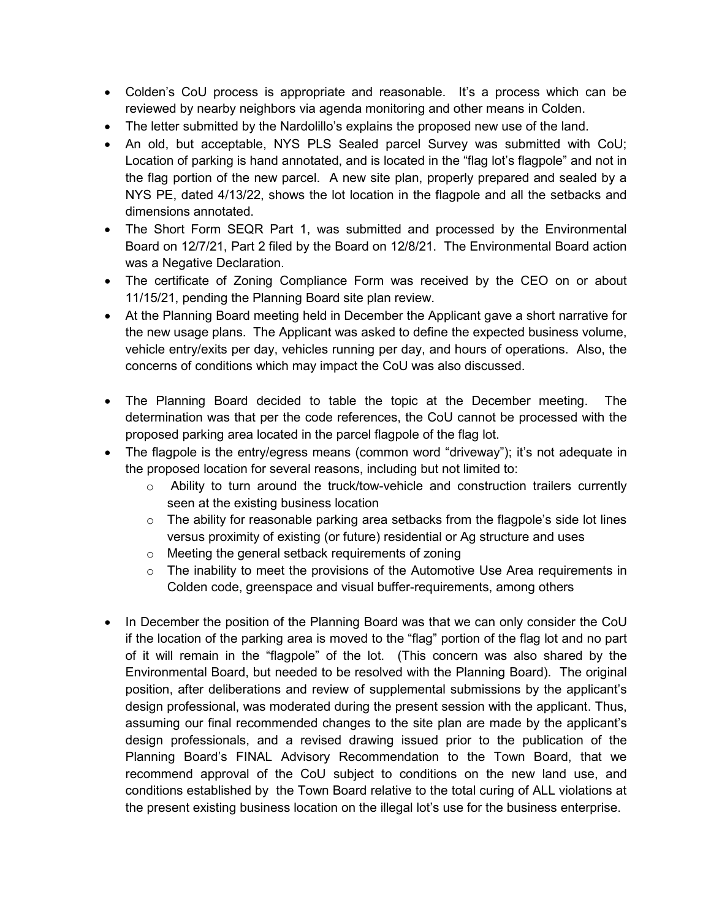- Colden's CoU process is appropriate and reasonable. It's a process which can be reviewed by nearby neighbors via agenda monitoring and other means in Colden.
- The letter submitted by the Nardolillo's explains the proposed new use of the land.
- An old, but acceptable, NYS PLS Sealed parcel Survey was submitted with CoU; Location of parking is hand annotated, and is located in the "flag lot's flagpole" and not in the flag portion of the new parcel. A new site plan, properly prepared and sealed by a NYS PE, dated 4/13/22, shows the lot location in the flagpole and all the setbacks and dimensions annotated.
- The Short Form SEQR Part 1, was submitted and processed by the Environmental Board on 12/7/21, Part 2 filed by the Board on 12/8/21. The Environmental Board action was a Negative Declaration.
- The certificate of Zoning Compliance Form was received by the CEO on or about 11/15/21, pending the Planning Board site plan review.
- At the Planning Board meeting held in December the Applicant gave a short narrative for the new usage plans. The Applicant was asked to define the expected business volume, vehicle entry/exits per day, vehicles running per day, and hours of operations. Also, the concerns of conditions which may impact the CoU was also discussed.
- The Planning Board decided to table the topic at the December meeting. The determination was that per the code references, the CoU cannot be processed with the proposed parking area located in the parcel flagpole of the flag lot.
- The flagpole is the entry/egress means (common word "driveway"); it's not adequate in the proposed location for several reasons, including but not limited to:
	- $\circ$  Ability to turn around the truck/tow-vehicle and construction trailers currently seen at the existing business location
	- $\circ$  The ability for reasonable parking area setbacks from the flagpole's side lot lines versus proximity of existing (or future) residential or Ag structure and uses
	- o Meeting the general setback requirements of zoning
	- $\circ$  The inability to meet the provisions of the Automotive Use Area requirements in Colden code, greenspace and visual buffer-requirements, among others
- In December the position of the Planning Board was that we can only consider the CoU if the location of the parking area is moved to the "flag" portion of the flag lot and no part of it will remain in the "flagpole" of the lot. (This concern was also shared by the Environmental Board, but needed to be resolved with the Planning Board). The original position, after deliberations and review of supplemental submissions by the applicant's design professional, was moderated during the present session with the applicant. Thus, assuming our final recommended changes to the site plan are made by the applicant's design professionals, and a revised drawing issued prior to the publication of the Planning Board's FINAL Advisory Recommendation to the Town Board, that we recommend approval of the CoU subject to conditions on the new land use, and conditions established by the Town Board relative to the total curing of ALL violations at the present existing business location on the illegal lot's use for the business enterprise.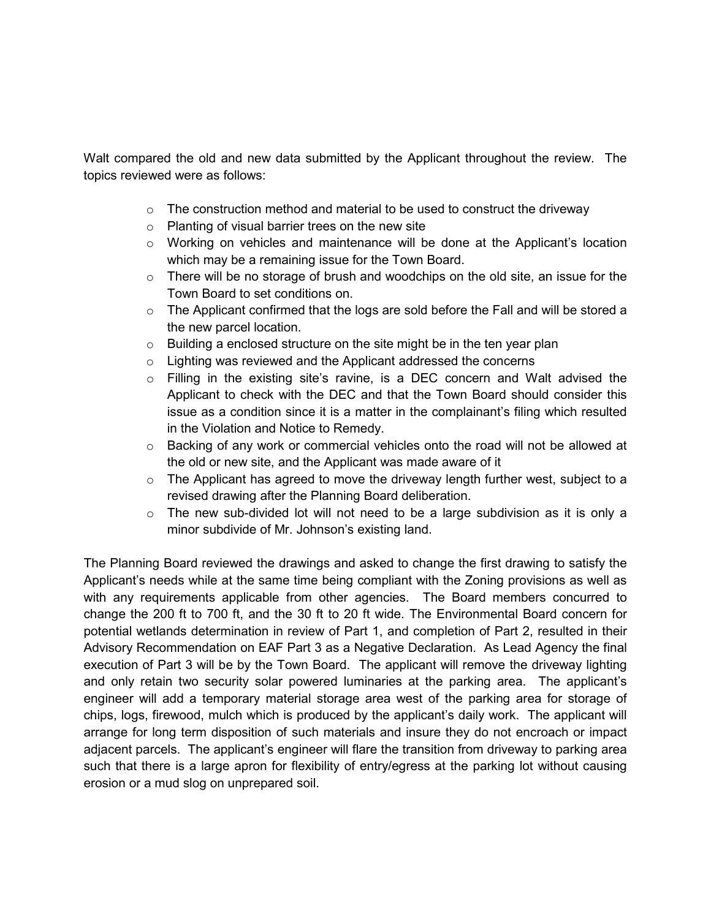Walt compared the old and new data submitted by the Applicant throughout the review. The topics reviewed were as follows:

- $\circ$  The construction method and material to be used to construct the driveway
- o Planting of visual barrier trees on the new site
- o Working on vehicles and maintenance will be done at the Applicant's location which may be a remaining issue for the Town Board.
- $\circ$  There will be no storage of brush and woodchips on the old site, an issue for the Town Board to set conditions on.
- $\circ$  The Applicant confirmed that the logs are sold before the Fall and will be stored a the new parcel location.
- $\circ$  Building a enclosed structure on the site might be in the ten year plan
- o Lighting was reviewed and the Applicant addressed the concerns
- o Filling in the existing site's ravine, is a DEC concern and Walt advised the Applicant to check with the DEC and that the Town Board should consider this issue as a condition since it is a matter in the complainant's filing which resulted in the Violation and Notice to Remedy.
- $\circ$  Backing of any work or commercial vehicles onto the road will not be allowed at the old or new site, and the Applicant was made aware of it
- $\circ$  The Applicant has agreed to move the driveway length further west, subject to a revised drawing after the Planning Board deliberation.
- $\circ$  The new sub-divided lot will not need to be a large subdivision as it is only a minor subdivide of Mr. Johnson's existing land.

The Planning Board reviewed the drawings and asked to change the first drawing to satisfy the Applicant's needs while at the same time being compliant with the Zoning provisions as well as with any requirements applicable from other agencies. The Board members concurred to change the 200 ft to 700 ft, and the 30 ft to 20 ft wide. The Environmental Board concern for potential wetlands determination in review of Part 1, and completion of Part 2, resulted in their Advisory Recommendation on EAF Part 3 as a Negative Declaration. As Lead Agency the final execution of Part 3 will be by the Town Board. The applicant will remove the driveway lighting and only retain two security solar powered luminaries at the parking area. The applicant's engineer will add a temporary material storage area west of the parking area for storage of chips, logs, firewood, mulch which is produced by the applicant's daily work. The applicant will arrange for long term disposition of such materials and insure they do not encroach or impact adjacent parcels. The applicant's engineer will flare the transition from driveway to parking area such that there is a large apron for flexibility of entry/egress at the parking lot without causing erosion or a mud slog on unprepared soil.